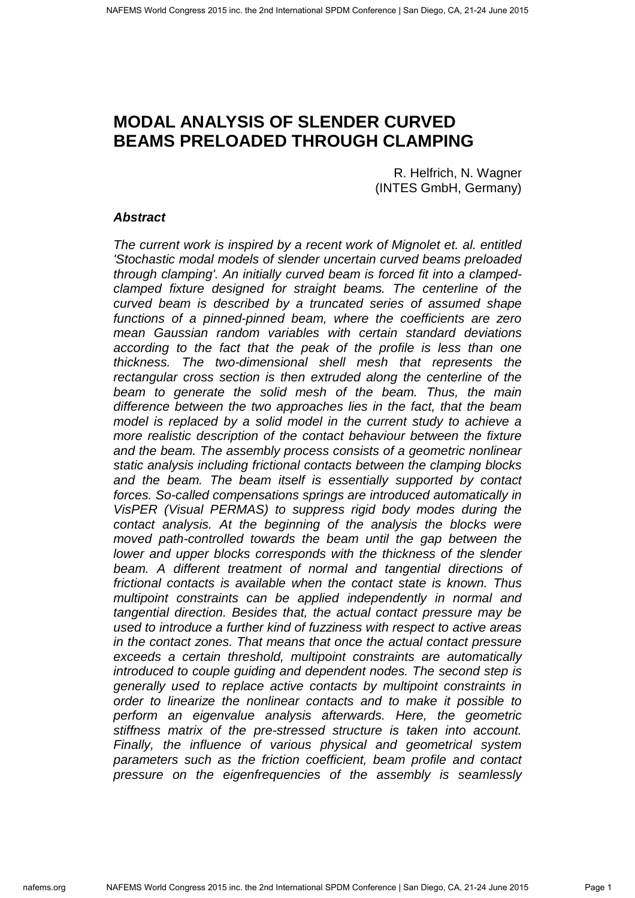# **MODAL ANALYSIS OF SLENDER CURVED BEAMS PRELOADED THROUGH CLAMPING**

R. Helfrich, N. Wagner (INTES GmbH, Germany)

## **Abstract**

The current work is inspired by a recent work of Mignolet et. al. entitled 'Stochastic modal models of slender uncertain curved beams preloaded through clamping'. An initially curved beam is forced fit into a clampedclamped fixture designed for straight beams. The centerline of the curved beam is described by a truncated series of assumed shape functions of a pinned-pinned beam, where the coefficients are zero mean Gaussian random variables with certain standard deviations according to the fact that the peak of the profile is less than one thickness. The two-dimensional shell mesh that represents the rectangular cross section is then extruded along the centerline of the beam to generate the solid mesh of the beam. Thus, the main difference between the two approaches lies in the fact, that the beam model is replaced by a solid model in the current study to achieve a more realistic description of the contact behaviour between the fixture and the beam. The assembly process consists of a geometric nonlinear static analysis including frictional contacts between the clamping blocks and the beam. The beam itself is essentially supported by contact forces. So-called compensations springs are introduced automatically in VisPER (Visual PERMAS) to suppress rigid body modes during the contact analysis. At the beginning of the analysis the blocks were moved path-controlled towards the beam until the gap between the lower and upper blocks corresponds with the thickness of the slender beam. A different treatment of normal and tangential directions of frictional contacts is available when the contact state is known. Thus multipoint constraints can be applied independently in normal and tangential direction. Besides that, the actual contact pressure may be used to introduce a further kind of fuzziness with respect to active areas in the contact zones. That means that once the actual contact pressure exceeds a certain threshold, multipoint constraints are automatically introduced to couple guiding and dependent nodes. The second step is generally used to replace active contacts by multipoint constraints in order to linearize the nonlinear contacts and to make it possible to perform an eigenvalue analysis afterwards. Here, the geometric stiffness matrix of the pre-stressed structure is taken into account. Finally, the influence of various physical and geometrical system parameters such as the friction coefficient, beam profile and contact pressure on the eigenfrequencies of the assembly is seamlessly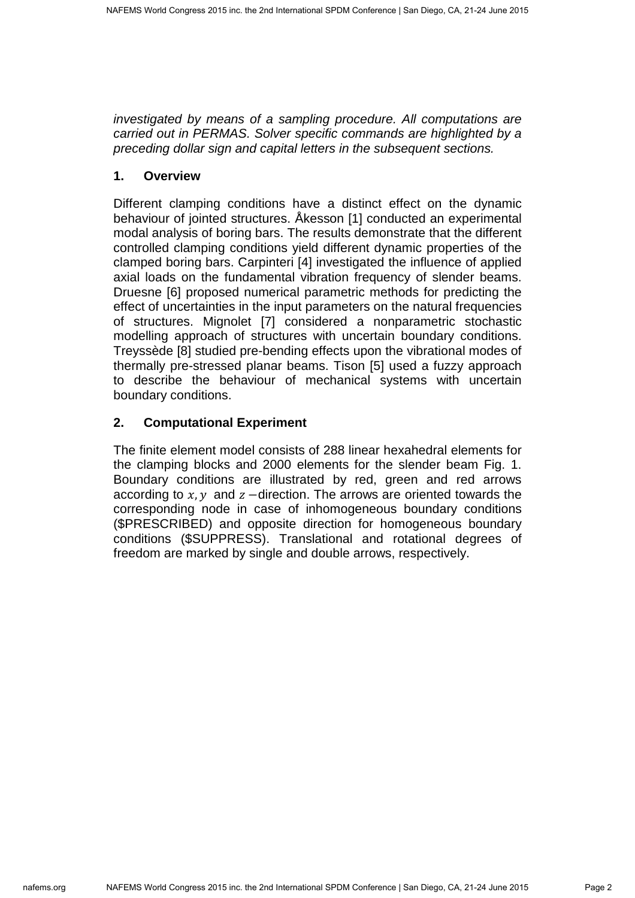investigated by means of a sampling procedure. All computations are carried out in PERMAS. Solver specific commands are highlighted by a preceding dollar sign and capital letters in the subsequent sections.

# **1. Overview**

Different clamping conditions have a distinct effect on the dynamic behaviour of jointed structures. Åkesson [1] conducted an experimental modal analysis of boring bars. The results demonstrate that the different controlled clamping conditions yield different dynamic properties of the clamped boring bars. Carpinteri [4] investigated the influence of applied axial loads on the fundamental vibration frequency of slender beams. Druesne [6] proposed numerical parametric methods for predicting the effect of uncertainties in the input parameters on the natural frequencies of structures. Mignolet [7] considered a nonparametric stochastic modelling approach of structures with uncertain boundary conditions. Treyssède [8] studied pre-bending effects upon the vibrational modes of thermally pre-stressed planar beams. Tison [5] used a fuzzy approach to describe the behaviour of mechanical systems with uncertain boundary conditions.

# **2. Computational Experiment**

The finite element model consists of 288 linear hexahedral elements for the clamping blocks and 2000 elements for the slender beam Fig. 1. Boundary conditions are illustrated by red, green and red arrows according to  $x, y$  and  $z$  –direction. The arrows are oriented towards the corresponding node in case of inhomogeneous boundary conditions (\$PRESCRIBED) and opposite direction for homogeneous boundary conditions (\$SUPPRESS). Translational and rotational degrees of freedom are marked by single and double arrows, respectively.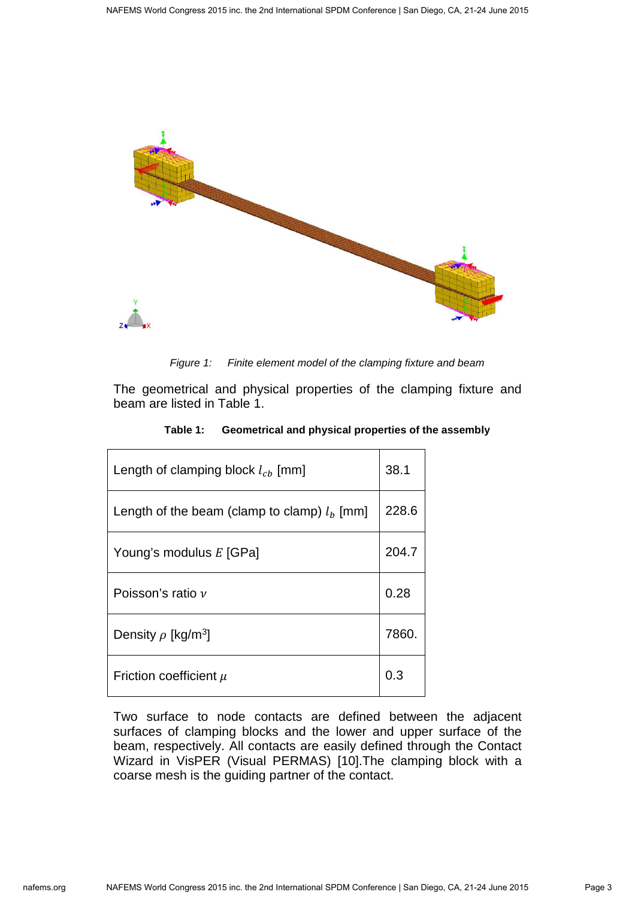

Figure 1: Finite element model of the clamping fixture and beam

The geometrical and physical properties of the clamping fixture and beam are listed in Table 1.

| Length of clamping block $l_{ch}$ [mm]        |       |
|-----------------------------------------------|-------|
| Length of the beam (clamp to clamp) $lb$ [mm] | 228.6 |
| Young's modulus E [GPa]                       | 204.7 |
| Poisson's ratio $\nu$                         | 0.28  |
| Density $\rho$ [kg/m <sup>3</sup> ]           | 7860. |
| Friction coefficient $\mu$                    | 0.3   |

**Table 1: Geometrical and physical properties of the assembly** 

Two surface to node contacts are defined between the adjacent surfaces of clamping blocks and the lower and upper surface of the beam, respectively. All contacts are easily defined through the Contact Wizard in VisPER (Visual PERMAS) [10].The clamping block with a coarse mesh is the guiding partner of the contact.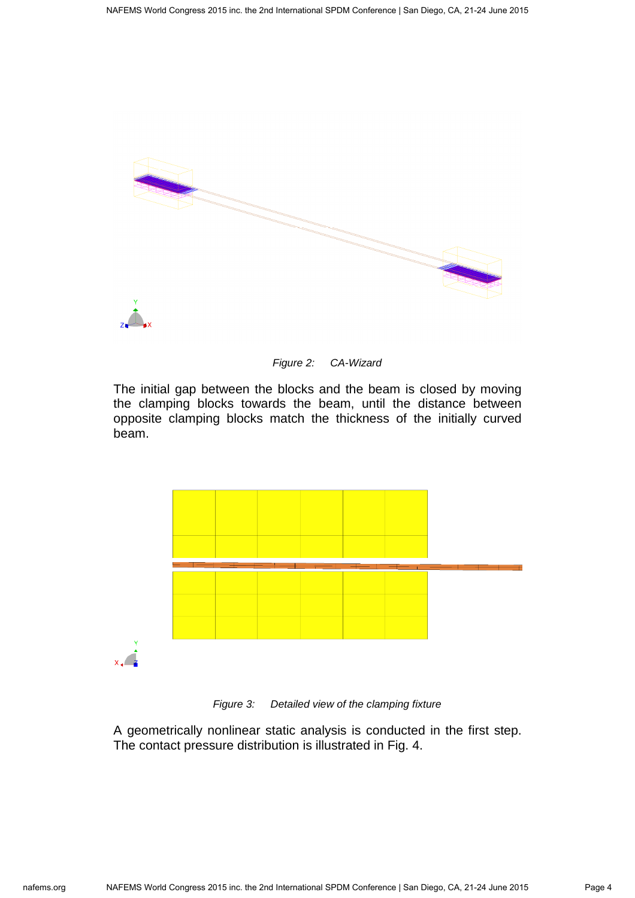



The initial gap between the blocks and the beam is closed by moving the clamping blocks towards the beam, until the distance between opposite clamping blocks match the thickness of the initially curved beam.





A geometrically nonlinear static analysis is conducted in the first step. The contact pressure distribution is illustrated in Fig. 4.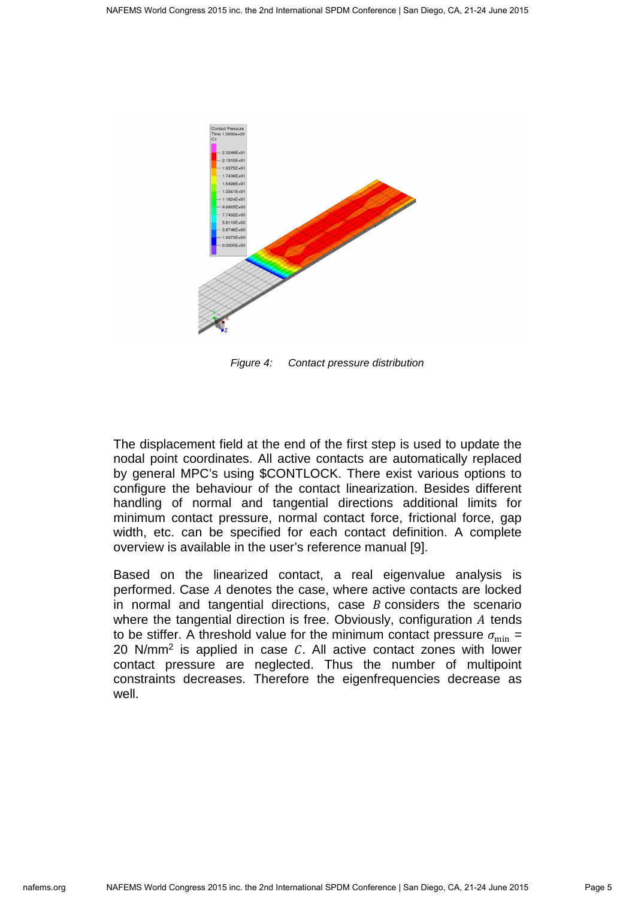

Figure 4: Contact pressure distribution

The displacement field at the end of the first step is used to update the nodal point coordinates. All active contacts are automatically replaced by general MPC's using \$CONTLOCK. There exist various options to configure the behaviour of the contact linearization. Besides different handling of normal and tangential directions additional limits for minimum contact pressure, normal contact force, frictional force, gap width, etc. can be specified for each contact definition. A complete overview is available in the user's reference manual [9].

Based on the linearized contact, a real eigenvalue analysis is performed. Case A denotes the case, where active contacts are locked in normal and tangential directions, case  $B$  considers the scenario where the tangential direction is free. Obviously, configuration  $A$  tends to be stiffer. A threshold value for the minimum contact pressure  $\sigma_{\min} =$ 20 N/mm<sup>2</sup> is applied in case  $C$ . All active contact zones with lower contact pressure are neglected. Thus the number of multipoint constraints decreases. Therefore the eigenfrequencies decrease as well.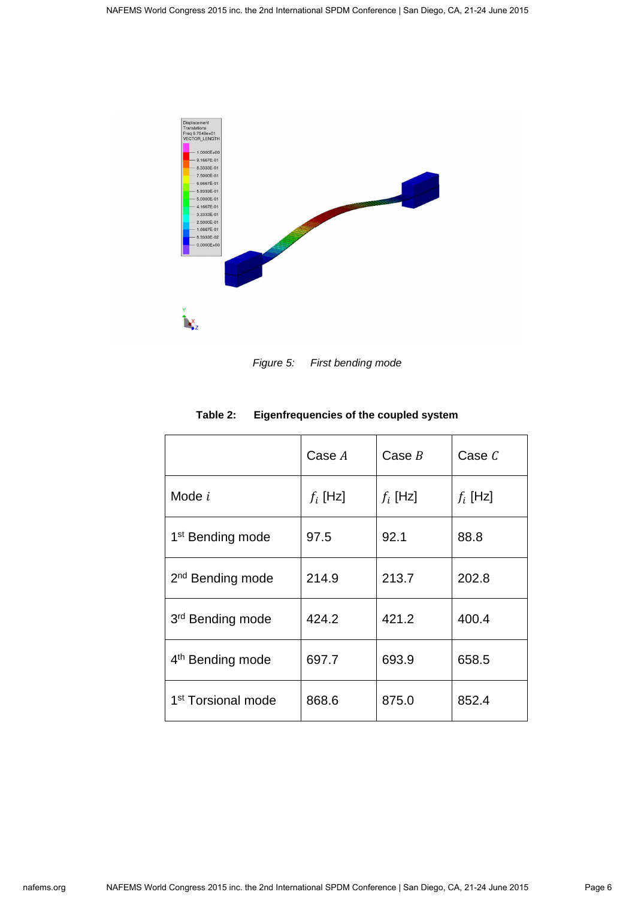

Figure 5: First bending mode

|                                | Case A     | Case $B$   | Case $C$   |
|--------------------------------|------------|------------|------------|
| Mode $i$                       | $f_i$ [Hz] | $f_i$ [Hz] | $f_i$ [Hz] |
| 1 <sup>st</sup> Bending mode   | 97.5       | 92.1       | 88.8       |
| 2 <sup>nd</sup> Bending mode   | 214.9      | 213.7      | 202.8      |
| 3rd Bending mode               | 424.2      | 421.2      | 400.4      |
| 4 <sup>th</sup> Bending mode   | 697.7      | 693.9      | 658.5      |
| 1 <sup>st</sup> Torsional mode | 868.6      | 875.0      | 852.4      |

#### **Table 2: Eigenfrequencies of the coupled system**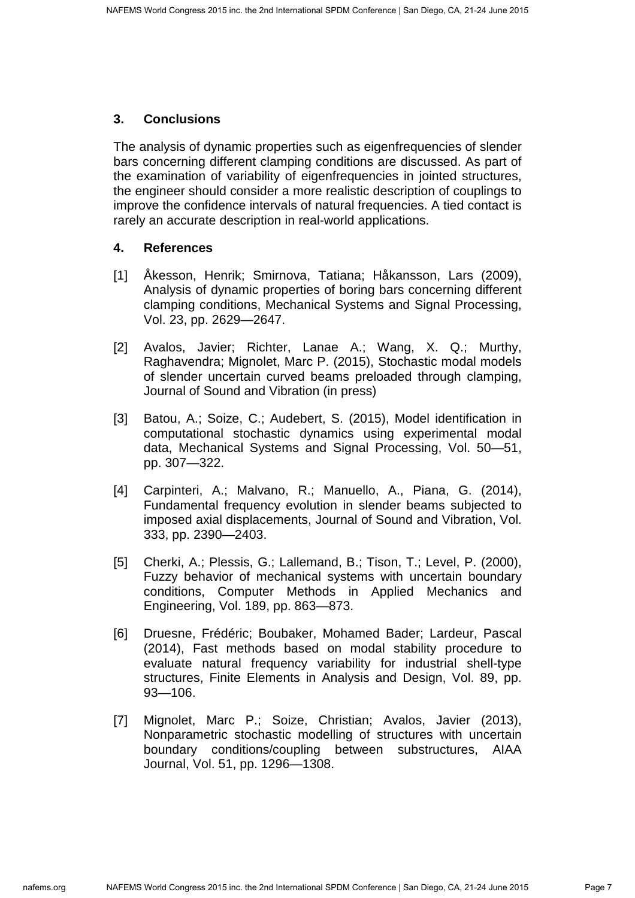### **3. Conclusions**

The analysis of dynamic properties such as eigenfrequencies of slender bars concerning different clamping conditions are discussed. As part of the examination of variability of eigenfrequencies in jointed structures, the engineer should consider a more realistic description of couplings to improve the confidence intervals of natural frequencies. A tied contact is rarely an accurate description in real-world applications.

#### **4. References**

- [1] Åkesson, Henrik; Smirnova, Tatiana; Håkansson, Lars (2009), Analysis of dynamic properties of boring bars concerning different clamping conditions, Mechanical Systems and Signal Processing, Vol. 23, pp. 2629—2647.
- [2] Avalos, Javier; Richter, Lanae A.; Wang, X. Q.; Murthy, Raghavendra; Mignolet, Marc P. (2015), Stochastic modal models of slender uncertain curved beams preloaded through clamping, Journal of Sound and Vibration (in press)
- [3] Batou, A.; Soize, C.; Audebert, S. (2015), Model identification in computational stochastic dynamics using experimental modal data, Mechanical Systems and Signal Processing, Vol. 50—51, pp. 307—322.
- [4] Carpinteri, A.; Malvano, R.; Manuello, A., Piana, G. (2014), Fundamental frequency evolution in slender beams subjected to imposed axial displacements, Journal of Sound and Vibration, Vol. 333, pp. 2390—2403.
- [5] Cherki, A.; Plessis, G.; Lallemand, B.; Tison, T.; Level, P. (2000), Fuzzy behavior of mechanical systems with uncertain boundary conditions, Computer Methods in Applied Mechanics and Engineering, Vol. 189, pp. 863—873.
- [6] Druesne, Frédéric; Boubaker, Mohamed Bader; Lardeur, Pascal (2014), Fast methods based on modal stability procedure to evaluate natural frequency variability for industrial shell-type structures, Finite Elements in Analysis and Design, Vol. 89, pp. 93—106.
- [7] Mignolet, Marc P.; Soize, Christian; Avalos, Javier (2013), Nonparametric stochastic modelling of structures with uncertain boundary conditions/coupling between substructures, AIAA Journal, Vol. 51, pp. 1296—1308.